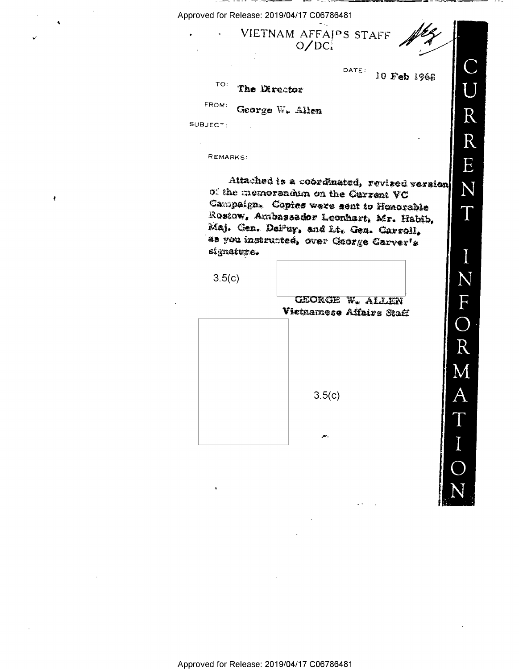Approved for Release: 2019/04/17 C06786481

 $O/DC<sub>i</sub>$ 

VIETNAM AFFAIPS STAFF

DATE: 10 Feb 1968

## $TO:$ The Director

FROM:

George W. Allen

SUBJECT:

ł

REMARKS:

Attached is a coordinated, revised version of the memorandum on the Current VC Campaign. Copies were sent to Henorable Rostow, Ambassador Leonhart, Mr. Habib, Maj. Gen. DePuy, and Lt. Gen. Carroll, as you instructed, over George Carver's signature.

 $3.5(c)$ 

**GEORGE W. ALLEN** Vietnamese Affairs Staff

 $3.5(c)$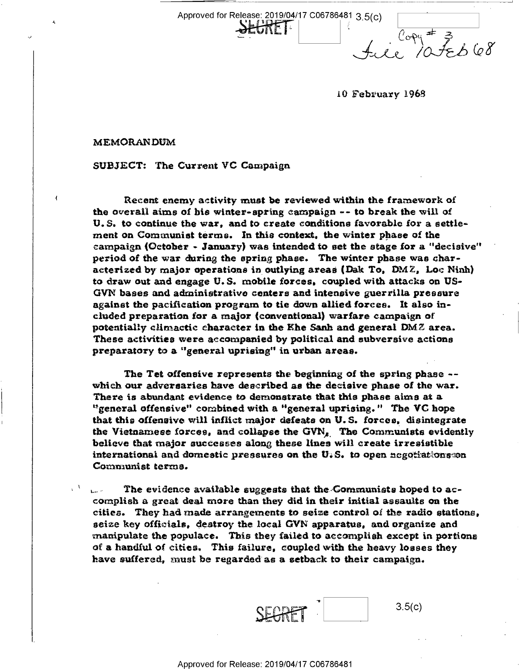Approved for Release: 2019/04/17 C06786481 3\_5(c)

 $f_{\mathcal{A}}(e^{i\theta})$  ateb $\theta$ 

<sup>l</sup>0 February 1968

MEMORANDUM

SUBJECT: The Current VC Campaign

Recent enemy activity must be reviewed within the framework of the overall aims of his winter-spring campaign -- to break the will oi U. S. to continue the war, and to create conditions favorable for as settlement on Communist terms. In this context. the winter phase oi the campaign (October - January) was intended to set the stage for a "decisive" period of the war during the spring phase. The winter phase was characterized by major operations in outlying areas (Dak To, DMZ, Loe Ninh) to draw out and engage U. S. mobile forees, coupled with attacks on US- GVN bases and administrative centers and intensive guerrilla pressure against the pacification program to tie down allied forces. It also included preparation for s major (conventional) warfare campaign of potentially elimactic character in the Khe Sanh and general  $DMZ$  area. These activities were accompanied by political and subversive actions preparatory to a "general uprising" in urban areas.

The Tet offensive represents the beginning of the spring phase - which our adversaries have described as the decisive phase of the war. There is abundant evidence to demonstrate that this phase aims at a. "general offensive" combined with a "general uprising." The VC hope that this offensive will infliot major defeats on U. S. forces. disintegrate the Vietnamese forces, and collapse the GVN<sub> $_{\ell}$ </sub>. The Communists evidently believe that major successes along these lines will ereate irresistible international and domestic pressures on the U.S. to open negotiations $\infty$ n Communist terms.

The evidence available suggests that the Communists hoped to accomplish as great deal more than they did in their initial assaults on the cities. They had made arrangements to seize control of the radio stations, seize key officials, destroy the local GVN apparatus, and organize and manipulate the populaee. This they failed to accomplish except in portions of a handful of cities. This failure, coupled with the heavy losses they have suffered, must be regarded as a setback to their campaign.

 $3.5(c)$ ELINE

Approved for Release: 2019/04/17 C06786481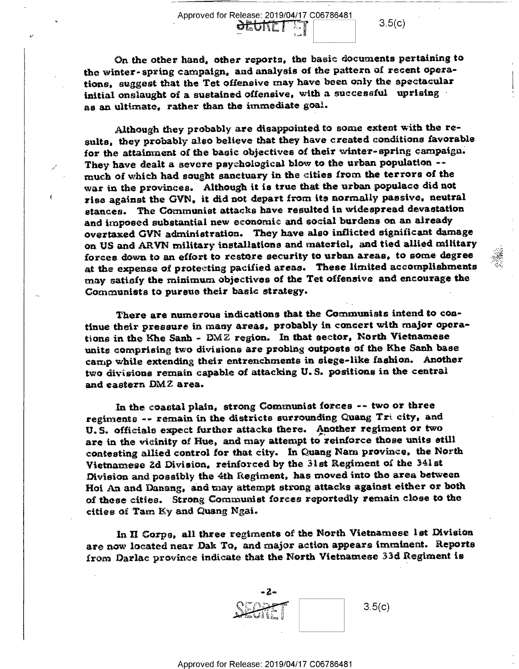Approved for Release: 2019/04/17 C06786481 . I  $\frac{3.5(c)}{1}$  3.5(c) the winter-spring campaign, and analysis of the pattern of recent operatione, suggest that the Tet offensive may have been only the spectacular initial onslaught of a sustained offensive, with a successful uprising as an ultimate, rather than the immediate goal.

Although they probably are disappointed to some extent with the results, they probably also believe that they have created conditions favorable for the attainment of the basic objectives of their winter-spring campaign. They have dealt a severe psychological blow to the urban population -much of which had sought sanctuary in the cities from the terrors of the war in the provinces. Although it is true that the urban populace did not rise against the GVN, it did not depart from its normally passive, neutral stances. The Communist attacks have resulted in widespread devastation and imposed substantial new economic and social burdens on an already overtaxed GVN administration. They have also inflicted significant damage on. US and ARVN military inetallationa and materiel, and tied allied military forces down to an effort to restore security to urban areas, to some degree at the expense of proteeting pacified areas. These limited accomplishments may satiety the minimum objeetivea of the Tet offensive and encourage the Communists to pursue their basic strategy.

There are numerous indications that the Communists intend to continue their presaare in many areas, probably in coneert with major operations in the Khe Sanh -  $DMZ$  region. In that sector, North Vietnamese units comprising two divisions are probing outposts of the Khe Sanh base camp while extending their entrenchments in siege-like fashion. Another two divisions remain capable of attacking U. S. positions in the central and eastern DMZ area.

In the eoaetal plain, strong Communist forces ~- two or three regiments -- remain in the districts surrounding Quang Tri city, and U.S. officials expect further attacks there. Another regiment or two are in the vieinity of Hue, and may attempt to reinforce those units still contesting allied control for that city. in Quang Nam province. the North Vietnamese 2d Division, reinforced by the 31st Regiment of the 341st Division and possibly the éth Regiment, has moved into the area between Hoi An and Danang, and may attempt strong attacks against either or both of these cities. Strong Communist forces reportedly remain close to the cities oi Tam Ky and Quang Ngai.

In 11 Gorpe, all three regiments of the North Vietnamese lat Division are now located near Dak To, and major action appears imminent. Reports from Darlac province indicate that the North Vietnamese 33d Regiment is

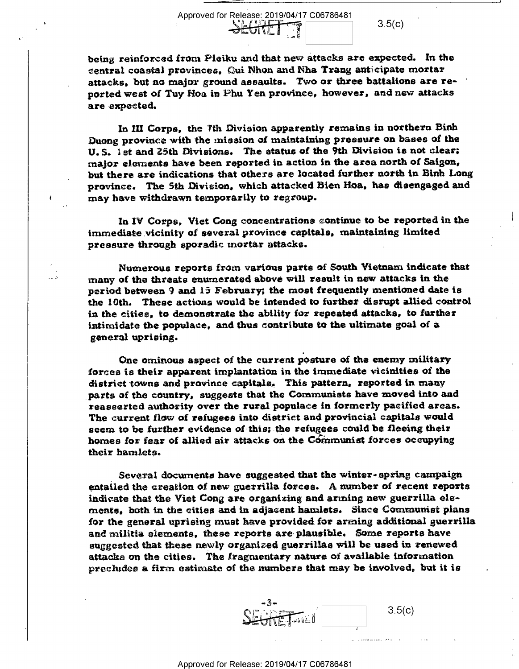Approved for Release: 2019/04/17 C06786481<br>
SEGRET 3.5(c)<br>
from Pleiku and that new attacks are expecte<br>
rovinces, Qui Nhon and Nha Trang anticipate being reinforced from Pleiku and that new attacks are expected. In the central coastal provinces, Qui Nhon and Nha Trang anticipate mortar attacks, but no major ground assaults. Two or three battalions are re- ' ported west of Tuy Hoa in Phu Yen province, however, and new attacks are expected.

الله مصدّ

In Ill Corps, the 'Fth Division apparently remains in northern Binh Duong province with the mission of maintaining pressure on bases of the U.S. ist and 25th Divisions. The status of the 9th Division is not clear; major elements have been reported in action in the area north of Saigon, but there are indications that others are located further north in Binh Long province. The Sth Division, which attaeked Bien Hoa, has disengaged and may have withdrawn temporarily to regroup.

In IV Corps, Viet Cong concentrations continue to be reported in the immediate vicinity of several province capitals, maintaining limited pressure through sporadic mortar attacks.

Numerous reports from various parts of South Vietnam indicate that many of the threats enumerated above will result in new attacks in the period between 9 and 15 February; the most frequently mentioned date is the 10th. These actions would be intended to further disrupt allied control in the cities, to demonstrate the ability for repeated attacks, to further intimidate the populaee, and thus contribute to the ultimate goal of a general uprising.-

One ominous aspect of the current posture oi the enemy military forces is their apparent implantation in the immediate vicinities of the district towns and province capitals, This pattern, reported in many parts of the country, suggests that the Communists have moved into and reasserted authority over the rural populace in formerly pacified areas. The current flow of refugees into district and provincial capitals would seem to be further evidence of this: the refugees could be fleeing their homes for fear of allied air attacks on the Communist forces occupying their hamlets.

Several documents have suggested that the winter-spring campaign entailed the creation of new guerrilla forces. A number of recent reports indicate that the Viet Cong are organizing and arming new guerrilla elements, both in the cities and in adjacent hamlets. Since Communist plans for the general uprising must have provided. for arming additional guerrilla and militia elements, these reports are-plausible. Some reports have suggested that these newly organized guerrillas will be used in renewed attacks on the cities. The fragmentary nature of available information precludes a firm estimate of the numbers that may be involved, but it is